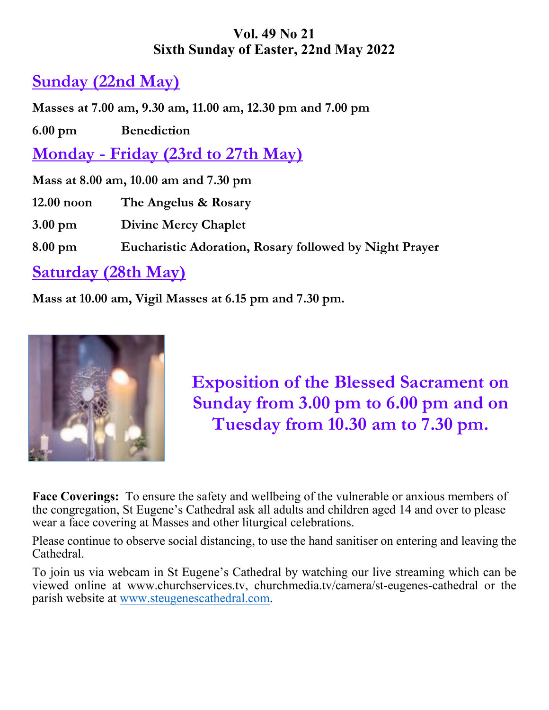# **Vol. 49 No 21 Sixth Sunday of Easter, 22nd May 2022**

# **Sunday (22nd May)**

**Masses at 7.00 am, 9.30 am, 11.00 am, 12.30 pm and 7.00 pm** 

**6.00 pm Benediction** 

**Monday - Friday (23rd to 27th May)** 

**Mass at 8.00 am, 10.00 am and 7.30 pm** 

**12.00 noon The Angelus & Rosary** 

**3.00 pm Divine Mercy Chaplet** 

**8.00 pm Eucharistic Adoration, Rosary followed by Night Prayer** 

# **Saturday (28th May)**

**Mass at 10.00 am, Vigil Masses at 6.15 pm and 7.30 pm.** 



**Exposition of the Blessed Sacrament on Sunday from 3.00 pm to 6.00 pm and on Tuesday from 10.30 am to 7.30 pm.** 

**Face Coverings:** To ensure the safety and wellbeing of the vulnerable or anxious members of the congregation, St Eugene's Cathedral ask all adults and children aged 14 and over to please wear a face covering at Masses and other liturgical celebrations.

Please continue to observe social distancing, to use the hand sanitiser on entering and leaving the Cathedral.

To join us via webcam in St Eugene's Cathedral by watching our live streaming which can be viewed online at www.churchservices.tv, churchmedia.tv/camera/st-eugenes-cathedral or the parish website at www.steugenescathedral.com.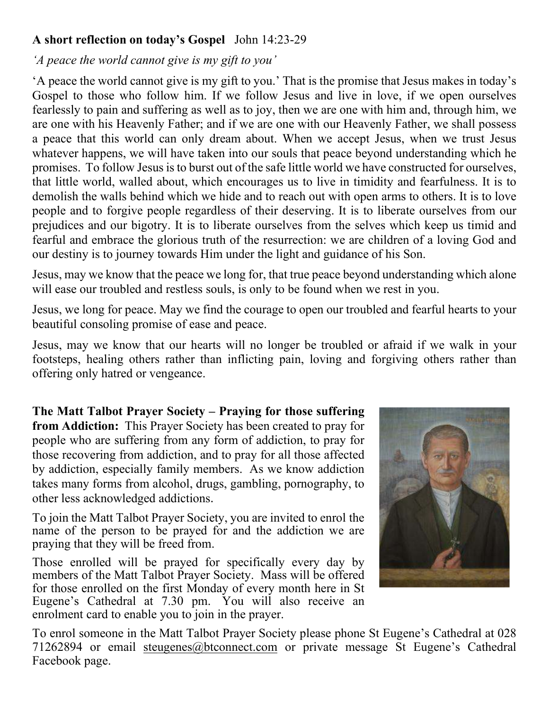#### **A short reflection on today's Gospel** John 14:23-29

#### *'A peace the world cannot give is my gift to you'*

'A peace the world cannot give is my gift to you.' That is the promise that Jesus makes in today's Gospel to those who follow him. If we follow Jesus and live in love, if we open ourselves fearlessly to pain and suffering as well as to joy, then we are one with him and, through him, we are one with his Heavenly Father; and if we are one with our Heavenly Father, we shall possess a peace that this world can only dream about. When we accept Jesus, when we trust Jesus whatever happens, we will have taken into our souls that peace beyond understanding which he promises. To follow Jesus is to burst out of the safe little world we have constructed for ourselves, that little world, walled about, which encourages us to live in timidity and fearfulness. It is to demolish the walls behind which we hide and to reach out with open arms to others. It is to love people and to forgive people regardless of their deserving. It is to liberate ourselves from our prejudices and our bigotry. It is to liberate ourselves from the selves which keep us timid and fearful and embrace the glorious truth of the resurrection: we are children of a loving God and our destiny is to journey towards Him under the light and guidance of his Son.

Jesus, may we know that the peace we long for, that true peace beyond understanding which alone will ease our troubled and restless souls, is only to be found when we rest in you.

Jesus, we long for peace. May we find the courage to open our troubled and fearful hearts to your beautiful consoling promise of ease and peace.

Jesus, may we know that our hearts will no longer be troubled or afraid if we walk in your footsteps, healing others rather than inflicting pain, loving and forgiving others rather than offering only hatred or vengeance.

**The Matt Talbot Prayer Society – Praying for those suffering from Addiction:** This Prayer Society has been created to pray for people who are suffering from any form of addiction, to pray for those recovering from addiction, and to pray for all those affected by addiction, especially family members. As we know addiction takes many forms from alcohol, drugs, gambling, pornography, to other less acknowledged addictions.

To join the Matt Talbot Prayer Society, you are invited to enrol the name of the person to be prayed for and the addiction we are praying that they will be freed from.

Those enrolled will be prayed for specifically every day by members of the Matt Talbot Prayer Society. Mass will be offered for those enrolled on the first Monday of every month here in St Eugene's Cathedral at 7.30 pm. You will also receive an enrolment card to enable you to join in the prayer.



To enrol someone in the Matt Talbot Prayer Society please phone St Eugene's Cathedral at 028 71262894 or email steugenes@btconnect.com or private message St Eugene's Cathedral Facebook page.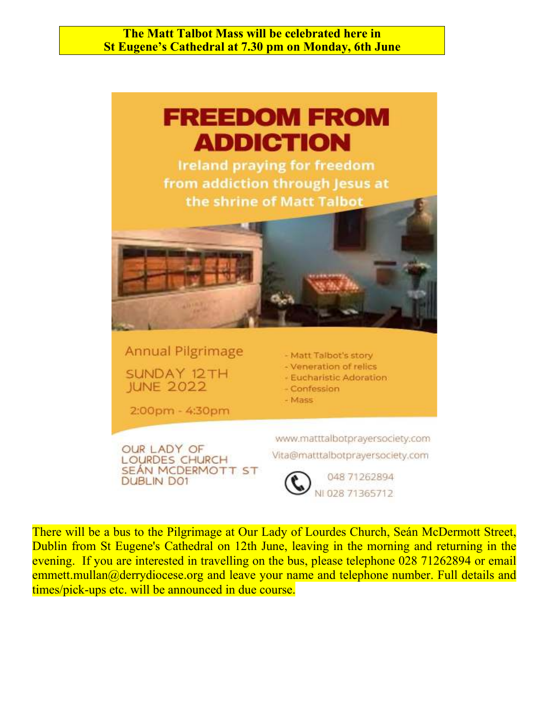**The Matt Talbot Mass will be celebrated here in St Eugene's Cathedral at 7.30 pm on Monday, 6th June** 



There will be a bus to the Pilgrimage at Our Lady of Lourdes Church, Seán McDermott Street, Dublin from St Eugene's Cathedral on 12th June, leaving in the morning and returning in the evening. If you are interested in travelling on the bus, please telephone 028 71262894 or email emmett.mullan@derrydiocese.org and leave your name and telephone number. Full details and times/pick-ups etc. will be announced in due course.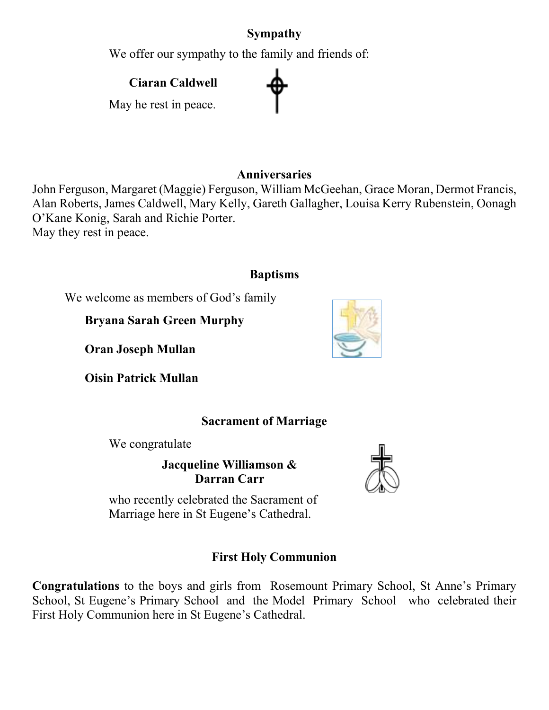# **Sympathy**

We offer our sympathy to the family and friends of:

 **Ciaran Caldwell** 

May he rest in peace.

#### **Anniversaries**

John Ferguson, Margaret (Maggie) Ferguson, William McGeehan, Grace Moran, Dermot Francis, Alan Roberts, James Caldwell, Mary Kelly, Gareth Gallagher, Louisa Kerry Rubenstein, Oonagh O'Kane Konig, Sarah and Richie Porter. May they rest in peace.

### **Baptisms**

We welcome as members of God's family

**Bryana Sarah Green Murphy** 

**Oran Joseph Mullan** 

**Oisin Patrick Mullan** 

## **Sacrament of Marriage**

We congratulate

**Jacqueline Williamson & Darran Carr** 

who recently celebrated the Sacrament of Marriage here in St Eugene's Cathedral.

# **First Holy Communion**

**Congratulations** to the boys and girls from Rosemount Primary School, St Anne's Primary School, St Eugene's Primary School and the Model Primary School who celebrated their First Holy Communion here in St Eugene's Cathedral.





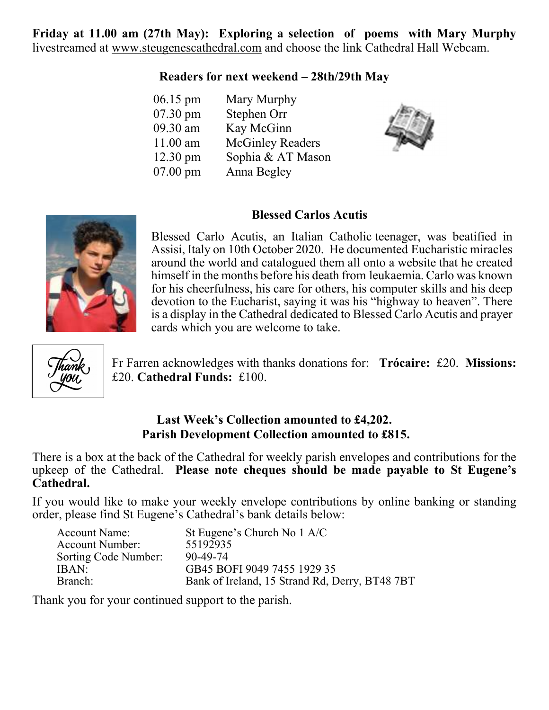**Friday at 11.00 am (27th May): Exploring a selection of poems with Mary Murphy**  livestreamed at www.steugenescathedral.com and choose the link Cathedral Hall Webcam.

#### **Readers for next weekend – 28th/29th May**

| $06.15 \text{ pm}$ | Mary Murphy             |
|--------------------|-------------------------|
| 07.30 pm           | Stephen Orr             |
| 09.30 am           | Kay McGinn              |
| $11.00$ am         | <b>McGinley Readers</b> |
| $12.30 \text{ pm}$ | Sophia & AT Mason       |
| $07.00$ pm         | Anna Begley             |



Blessed Carlo Acutis, an Italian Catholic teenager, was beatified in Assisi, Italy on 10th October 2020. He documented Eucharistic miracles around the world and catalogued them all onto a website that he created himself in the months before his death from leukaemia. Carlo was known for his cheerfulness, his care for others, his computer skills and his deep devotion to the Eucharist, saying it was his "highway to heaven". There is a display in the Cathedral dedicated to Blessed Carlo Acutis and prayer cards which you are welcome to take.



Fr Farren acknowledges with thanks donations for: **Trócaire:** £20. **Missions:** £20. **Cathedral Funds:** £100.

**Blessed Carlos Acutis** 

#### **Last Week's Collection amounted to £4,202. Parish Development Collection amounted to £815.**

There is a box at the back of the Cathedral for weekly parish envelopes and contributions for the upkeep of the Cathedral. **Please note cheques should be made payable to St Eugene's Cathedral.** 

If you would like to make your weekly envelope contributions by online banking or standing order, please find St Eugene's Cathedral's bank details below:

| St Eugene's Church No 1 A/C                    |
|------------------------------------------------|
| 55192935                                       |
| 90-49-74                                       |
| GB45 BOFI 9049 7455 1929 35                    |
| Bank of Ireland, 15 Strand Rd, Derry, BT48 7BT |
|                                                |

Thank you for your continued support to the parish.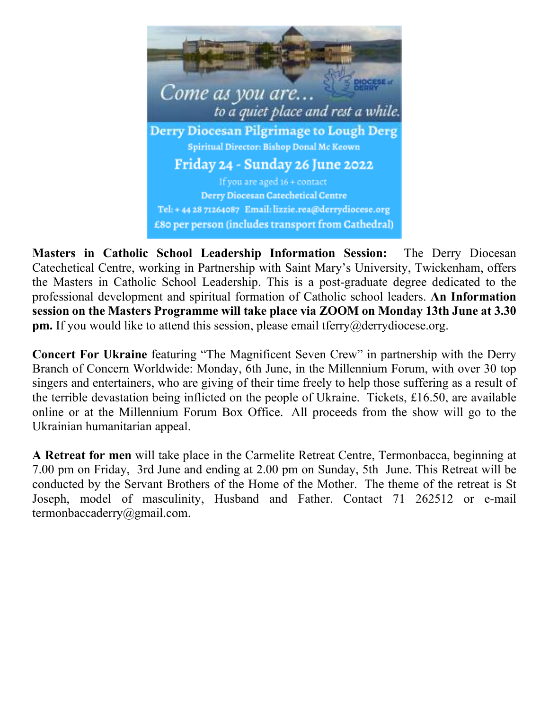

**Masters in Catholic School Leadership Information Session:** The Derry Diocesan Catechetical Centre, working in Partnership with Saint Mary's University, Twickenham, offers the Masters in Catholic School Leadership. This is a post-graduate degree dedicated to the professional development and spiritual formation of Catholic school leaders. **An Information session on the Masters Programme will take place via ZOOM on Monday 13th June at 3.30 pm.** If you would like to attend this session, please email tferry@derrydiocese.org.

**Concert For Ukraine** featuring "The Magnificent Seven Crew" in partnership with the Derry Branch of Concern Worldwide: Monday, 6th June, in the Millennium Forum, with over 30 top singers and entertainers, who are giving of their time freely to help those suffering as a result of the terrible devastation being inflicted on the people of Ukraine. Tickets, £16.50, are available online or at the Millennium Forum Box Office. All proceeds from the show will go to the Ukrainian humanitarian appeal.

**A Retreat for men** will take place in the Carmelite Retreat Centre, Termonbacca, beginning at 7.00 pm on Friday, 3rd June and ending at 2.00 pm on Sunday, 5th June. This Retreat will be conducted by the Servant Brothers of the Home of the Mother. The theme of the retreat is St Joseph, model of masculinity, Husband and Father. Contact 71 262512 or e-mail termonbaccaderry@gmail.com.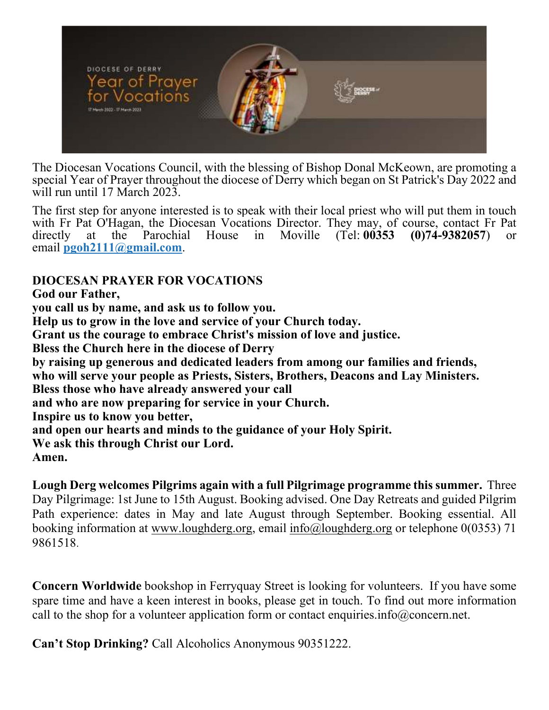

The Diocesan Vocations Council, with the blessing of Bishop Donal McKeown, are promoting a special Year of Prayer throughout the diocese of Derry which began on St Patrick's Day 2022 and will run until 17 March 2023.

The first step for anyone interested is to speak with their local priest who will put them in touch with Fr Pat O'Hagan, the Diocesan Vocations Director. They may, of course, contact Fr Pat directly at the Parochial House in Moville (Tel: 00353 (0)74-9382057) or **(0)74-9382057)** or email **pgoh2111@gmail.com**.

### **DIOCESAN PRAYER FOR VOCATIONS**

**God our Father,** 

**you call us by name, and ask us to follow you.** 

**Help us to grow in the love and service of your Church today.** 

**Grant us the courage to embrace Christ's mission of love and justice.** 

**Bless the Church here in the diocese of Derry** 

**by raising up generous and dedicated leaders from among our families and friends,** 

**who will serve your people as Priests, Sisters, Brothers, Deacons and Lay Ministers.** 

**Bless those who have already answered your call** 

**and who are now preparing for service in your Church.** 

**Inspire us to know you better,** 

**and open our hearts and minds to the guidance of your Holy Spirit.** 

**We ask this through Christ our Lord.** 

**Amen.** 

**Lough Derg welcomes Pilgrims again with a full Pilgrimage programme this summer.** Three Day Pilgrimage: 1st June to 15th August. Booking advised. One Day Retreats and guided Pilgrim Path experience: dates in May and late August through September. Booking essential. All booking information at www.loughderg.org, email info@loughderg.org or telephone 0(0353) 71 9861518.

**Concern Worldwide** bookshop in Ferryquay Street is looking for volunteers. If you have some spare time and have a keen interest in books, please get in touch. To find out more information call to the shop for a volunteer application form or contact enquiries.info@concern.net.

**Can't Stop Drinking?** Call Alcoholics Anonymous 90351222.